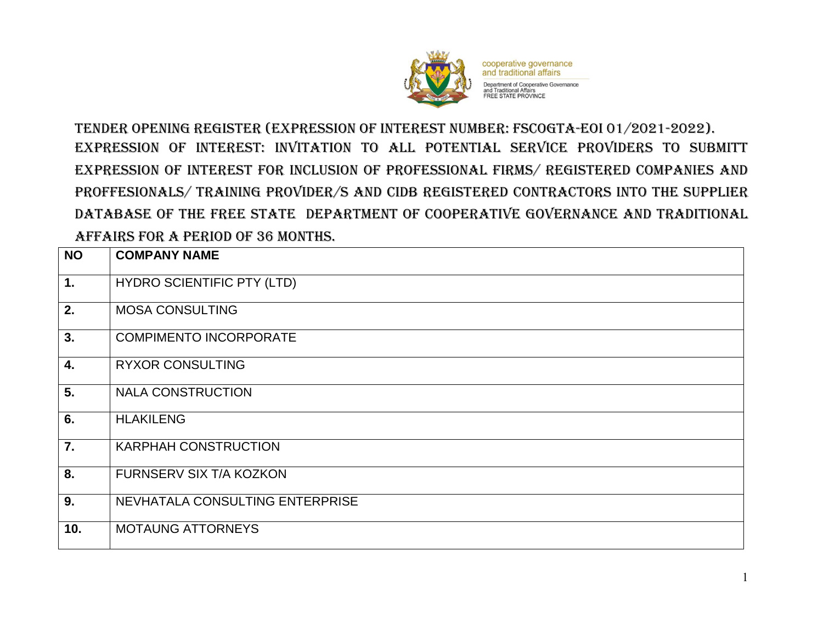

cooperative governance and traditional affairs Department of Cooperative Governance<br>and Traditional Affairs<br>FREE STATE PROVINCE

TENDER Opening REGISTER (EXPRESSION OF INTEREST NUMBER: FSCOGTA-EOI 01/2021-2022). EXPRESSION OF INTEREST: INVITATION TO ALL POTENTIAL SERVICE PROVIDERS TO SUBMITT EXPRESSION OF INTEREST FOR INCLUSION OF PROFESSIONAL FIRMS/ REGISTERED COMPANIES AND PROFFESIONALS/ TRAINING PROVIDER/S AND CIDB REGISTERED CONTRACTORS INTO THE SUPPLIER DATABASE OF THE FREE STATE DEPARTMENT OF COOPERATIVE GOVERNANCE AND TRADITIONAL AFFAIRS FOR A PERIOD OF 36 MONTHS.

| <b>NO</b>        | <b>COMPANY NAME</b>               |
|------------------|-----------------------------------|
| 1.               | <b>HYDRO SCIENTIFIC PTY (LTD)</b> |
| 2.               | <b>MOSA CONSULTING</b>            |
| 3.               | <b>COMPIMENTO INCORPORATE</b>     |
| 4.               | <b>RYXOR CONSULTING</b>           |
| 5.               | <b>NALA CONSTRUCTION</b>          |
| $\overline{6}$ . | <b>HLAKILENG</b>                  |
| 7.               | <b>KARPHAH CONSTRUCTION</b>       |
| 8.               | FURNSERV SIX T/A KOZKON           |
| 9.               | NEVHATALA CONSULTING ENTERPRISE   |
| 10.              | <b>MOTAUNG ATTORNEYS</b>          |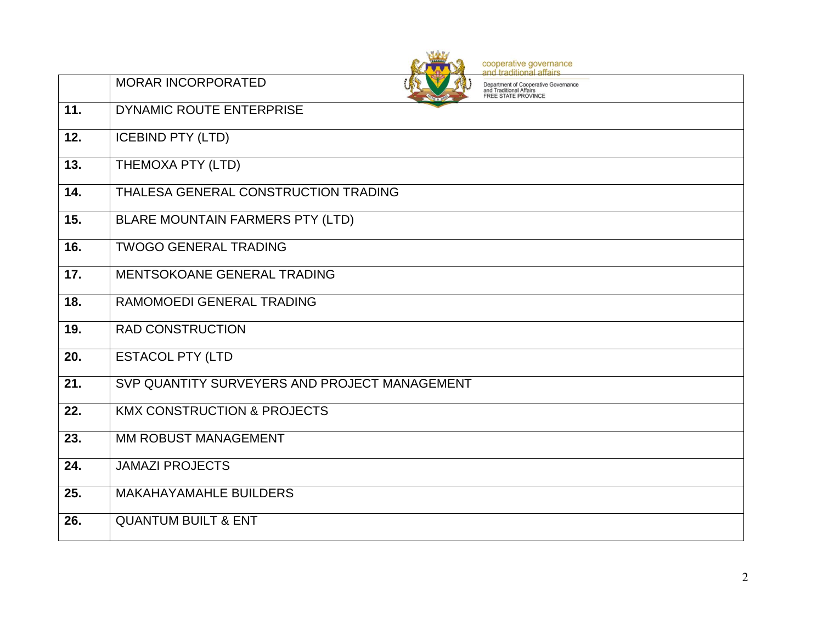|     | cooperative governance<br>and traditional affairs                                                                          |
|-----|----------------------------------------------------------------------------------------------------------------------------|
|     | <b>MORAR INCORPORATED</b><br>Department of Cooperative Governance<br>and Traditional Affairs<br><b>FREE STATE PROVINCE</b> |
| 11. | DYNAMIC ROUTE ENTERPRISE                                                                                                   |
| 12. | <b>ICEBIND PTY (LTD)</b>                                                                                                   |
| 13. | THEMOXA PTY (LTD)                                                                                                          |
| 14. | THALESA GENERAL CONSTRUCTION TRADING                                                                                       |
| 15. | BLARE MOUNTAIN FARMERS PTY (LTD)                                                                                           |
| 16. | <b>TWOGO GENERAL TRADING</b>                                                                                               |
| 17. | MENTSOKOANE GENERAL TRADING                                                                                                |
| 18. | RAMOMOEDI GENERAL TRADING                                                                                                  |
| 19. | <b>RAD CONSTRUCTION</b>                                                                                                    |
| 20. | <b>ESTACOL PTY (LTD</b>                                                                                                    |
| 21. | SVP QUANTITY SURVEYERS AND PROJECT MANAGEMENT                                                                              |
| 22. | <b>KMX CONSTRUCTION &amp; PROJECTS</b>                                                                                     |
| 23. | <b>MM ROBUST MANAGEMENT</b>                                                                                                |
| 24. | <b>JAMAZI PROJECTS</b>                                                                                                     |
| 25. | <b>MAKAHAYAMAHLE BUILDERS</b>                                                                                              |
| 26. | <b>QUANTUM BUILT &amp; ENT</b>                                                                                             |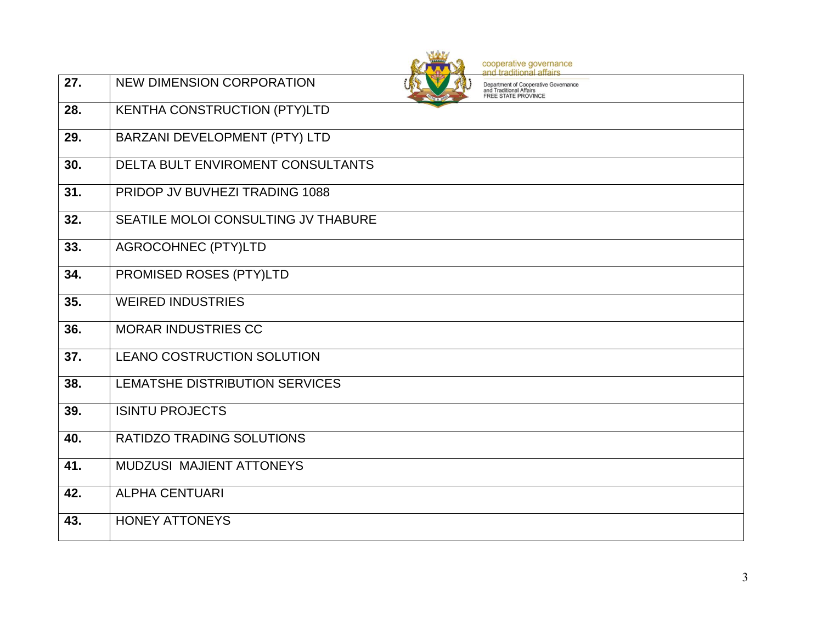

cooperative governance<br>and traditional affairs

| 27. | <b>NEW DIMENSION CORPORATION</b>         | Department of Cooperative Governance<br>and Traditional Affairs<br><b>FREE STATE PROVINCE</b> |
|-----|------------------------------------------|-----------------------------------------------------------------------------------------------|
| 28. | KENTHA CONSTRUCTION (PTY)LTD             |                                                                                               |
| 29. | BARZANI DEVELOPMENT (PTY) LTD            |                                                                                               |
| 30. | <b>DELTA BULT ENVIROMENT CONSULTANTS</b> |                                                                                               |
| 31. | PRIDOP JV BUVHEZI TRADING 1088           |                                                                                               |
| 32. | SEATILE MOLOI CONSULTING JV THABURE      |                                                                                               |
| 33. | <b>AGROCOHNEC (PTY)LTD</b>               |                                                                                               |
| 34. | PROMISED ROSES (PTY)LTD                  |                                                                                               |
| 35. | <b>WEIRED INDUSTRIES</b>                 |                                                                                               |
| 36. | <b>MORAR INDUSTRIES CC</b>               |                                                                                               |
| 37. | <b>LEANO COSTRUCTION SOLUTION</b>        |                                                                                               |
| 38. | LEMATSHE DISTRIBUTION SERVICES           |                                                                                               |
| 39. | <b>ISINTU PROJECTS</b>                   |                                                                                               |
| 40. | <b>RATIDZO TRADING SOLUTIONS</b>         |                                                                                               |
| 41. | <b>MUDZUSI MAJIENT ATTONEYS</b>          |                                                                                               |
| 42. | <b>ALPHA CENTUARI</b>                    |                                                                                               |
| 43. | <b>HONEY ATTONEYS</b>                    |                                                                                               |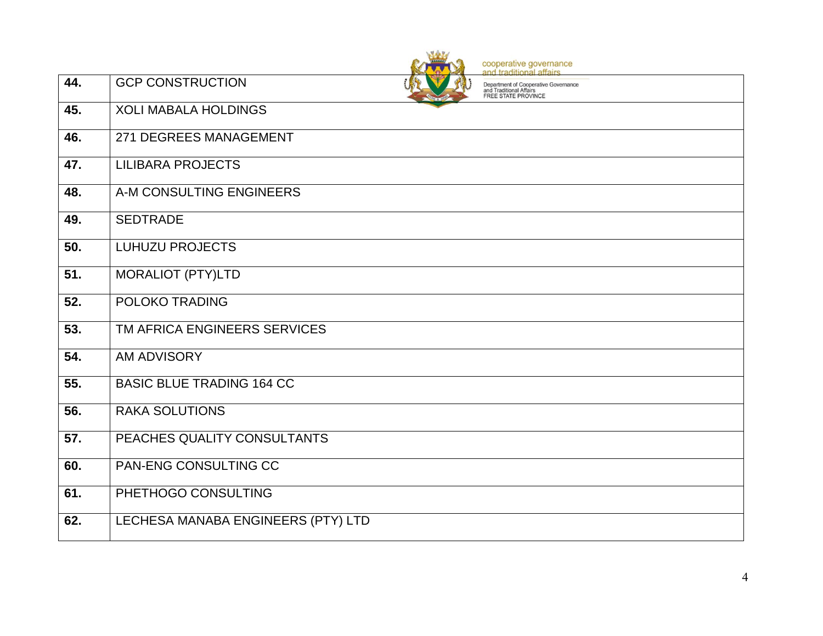|                   | cooperative governance<br>and traditional affairs                                                                        |  |
|-------------------|--------------------------------------------------------------------------------------------------------------------------|--|
| 44.               | <b>GCP CONSTRUCTION</b><br>Department of Cooperative Governance<br>and Traditional Affairs<br><b>FREE STATE PROVINCE</b> |  |
| 45.               | <b>XOLI MABALA HOLDINGS</b>                                                                                              |  |
| 46.               | 271 DEGREES MANAGEMENT                                                                                                   |  |
| 47.               | <b>LILIBARA PROJECTS</b>                                                                                                 |  |
| 48.               | A-M CONSULTING ENGINEERS                                                                                                 |  |
| 49.               | <b>SEDTRADE</b>                                                                                                          |  |
| 50.               | <b>LUHUZU PROJECTS</b>                                                                                                   |  |
| 51.               | <b>MORALIOT (PTY)LTD</b>                                                                                                 |  |
| $\overline{52}$ . | POLOKO TRADING                                                                                                           |  |
| 53.               | TM AFRICA ENGINEERS SERVICES                                                                                             |  |
| 54.               | <b>AM ADVISORY</b>                                                                                                       |  |
| 55.               | <b>BASIC BLUE TRADING 164 CC</b>                                                                                         |  |
| 56.               | <b>RAKA SOLUTIONS</b>                                                                                                    |  |
| 57.               | PEACHES QUALITY CONSULTANTS                                                                                              |  |
| 60.               | <b>PAN-ENG CONSULTING CC</b>                                                                                             |  |
| 61.               | PHETHOGO CONSULTING                                                                                                      |  |
| 62.               | LECHESA MANABA ENGINEERS (PTY) LTD                                                                                       |  |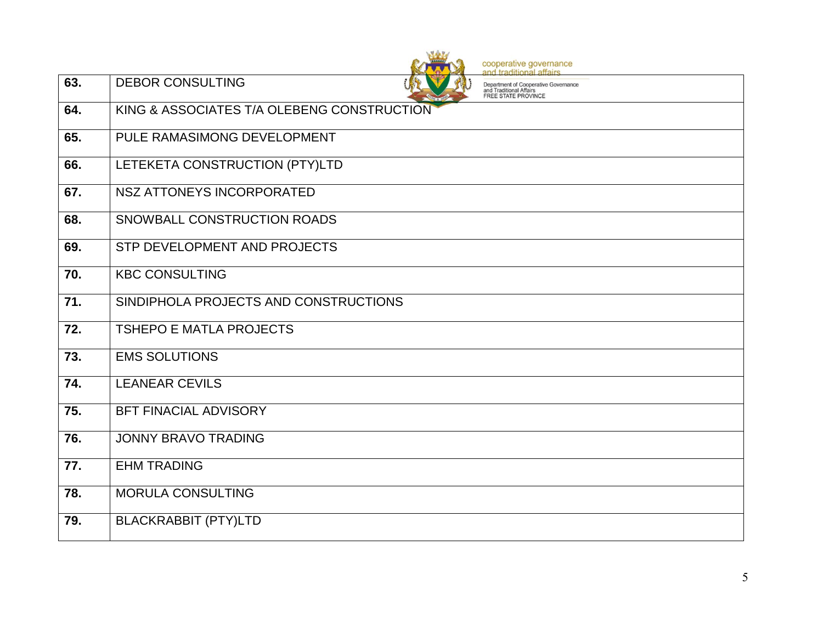|                 | cooperative governance<br>and traditional affairs                                                                 |
|-----------------|-------------------------------------------------------------------------------------------------------------------|
| 63.             | <b>DEBOR CONSULTING</b><br>Department of Cooperative Governance<br>and Traditional Affairs<br>FREE STATE PROVINCE |
| 64.             | KING & ASSOCIATES T/A OLEBENG CONSTRUCTION                                                                        |
| 65.             | PULE RAMASIMONG DEVELOPMENT                                                                                       |
| 66.             | LETEKETA CONSTRUCTION (PTY)LTD                                                                                    |
| 67.             | <b>NSZ ATTONEYS INCORPORATED</b>                                                                                  |
| 68.             | SNOWBALL CONSTRUCTION ROADS                                                                                       |
| 69.             | STP DEVELOPMENT AND PROJECTS                                                                                      |
| 70.             | <b>KBC CONSULTING</b>                                                                                             |
| 71.             | SINDIPHOLA PROJECTS AND CONSTRUCTIONS                                                                             |
| $\overline{72}$ | <b>TSHEPO E MATLA PROJECTS</b>                                                                                    |
| 73.             | <b>EMS SOLUTIONS</b>                                                                                              |
| 74.             | <b>LEANEAR CEVILS</b>                                                                                             |
| 75.             | <b>BFT FINACIAL ADVISORY</b>                                                                                      |
| 76.             | <b>JONNY BRAVO TRADING</b>                                                                                        |
| 77.             | <b>EHM TRADING</b>                                                                                                |
| 78.             | <b>MORULA CONSULTING</b>                                                                                          |
| 79.             | <b>BLACKRABBIT (PTY)LTD</b>                                                                                       |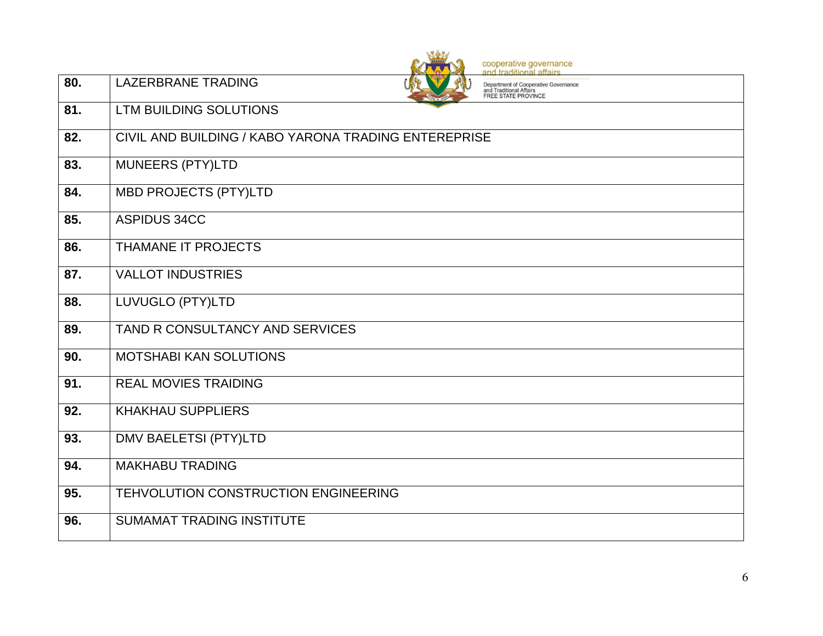|                   | cooperative governance<br>and traditional affairs                                                                   |
|-------------------|---------------------------------------------------------------------------------------------------------------------|
| 80.               | <b>LAZERBRANE TRADING</b><br>Department of Cooperative Governance<br>and Traditional Affairs<br>FREE STATE PROVINCE |
| 81.               | LTM BUILDING SOLUTIONS                                                                                              |
| 82.               | CIVIL AND BUILDING / KABO YARONA TRADING ENTEREPRISE                                                                |
| 83.               | <b>MUNEERS (PTY)LTD</b>                                                                                             |
| 84.               | <b>MBD PROJECTS (PTY)LTD</b>                                                                                        |
| 85.               | <b>ASPIDUS 34CC</b>                                                                                                 |
| 86.               | THAMANE IT PROJECTS                                                                                                 |
| 87.               | <b>VALLOT INDUSTRIES</b>                                                                                            |
| 88.               | LUVUGLO (PTY)LTD                                                                                                    |
| 89.               | TAND R CONSULTANCY AND SERVICES                                                                                     |
| 90.               | MOTSHABI KAN SOLUTIONS                                                                                              |
| 91.               | <b>REAL MOVIES TRAIDING</b>                                                                                         |
| 92.               | <b>KHAKHAU SUPPLIERS</b>                                                                                            |
| 93.               | <b>DMV BAELETSI (PTY)LTD</b>                                                                                        |
| $\overline{94}$ . | <b>MAKHABU TRADING</b>                                                                                              |
| 95.               | TEHVOLUTION CONSTRUCTION ENGINEERING                                                                                |
| 96.               | <b>SUMAMAT TRADING INSTITUTE</b>                                                                                    |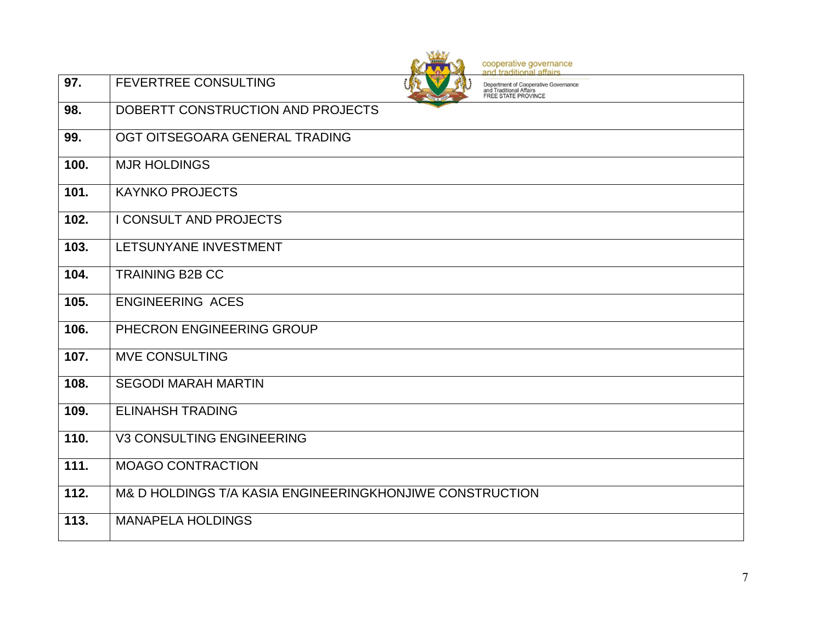|                    | cooperative governance<br>and traditional affairs                                                                            |
|--------------------|------------------------------------------------------------------------------------------------------------------------------|
| 97.                | <b>FEVERTREE CONSULTING</b><br>Department of Cooperative Governance<br>and Traditional Affairs<br><b>FREE STATE PROVINCE</b> |
| 98.                | DOBERTT CONSTRUCTION AND PROJECTS                                                                                            |
| 99.                | OGT OITSEGOARA GENERAL TRADING                                                                                               |
| 100.               | <b>MJR HOLDINGS</b>                                                                                                          |
| 101.               | <b>KAYNKO PROJECTS</b>                                                                                                       |
| 102.               | <b>I CONSULT AND PROJECTS</b>                                                                                                |
| $\overline{1}$ 03. | LETSUNYANE INVESTMENT                                                                                                        |
| 104.               | <b>TRAINING B2B CC</b>                                                                                                       |
| 105.               | <b>ENGINEERING ACES</b>                                                                                                      |
| 106.               | PHECRON ENGINEERING GROUP                                                                                                    |
| 107.               | <b>MVE CONSULTING</b>                                                                                                        |
| 108.               | <b>SEGODI MARAH MARTIN</b>                                                                                                   |
| 109.               | <b>ELINAHSH TRADING</b>                                                                                                      |
| 110.               | <b>V3 CONSULTING ENGINEERING</b>                                                                                             |
| 111.               | <b>MOAGO CONTRACTION</b>                                                                                                     |
| 112.               | M& D HOLDINGS T/A KASIA ENGINEERINGKHONJIWE CONSTRUCTION                                                                     |
| 113.               | <b>MANAPELA HOLDINGS</b>                                                                                                     |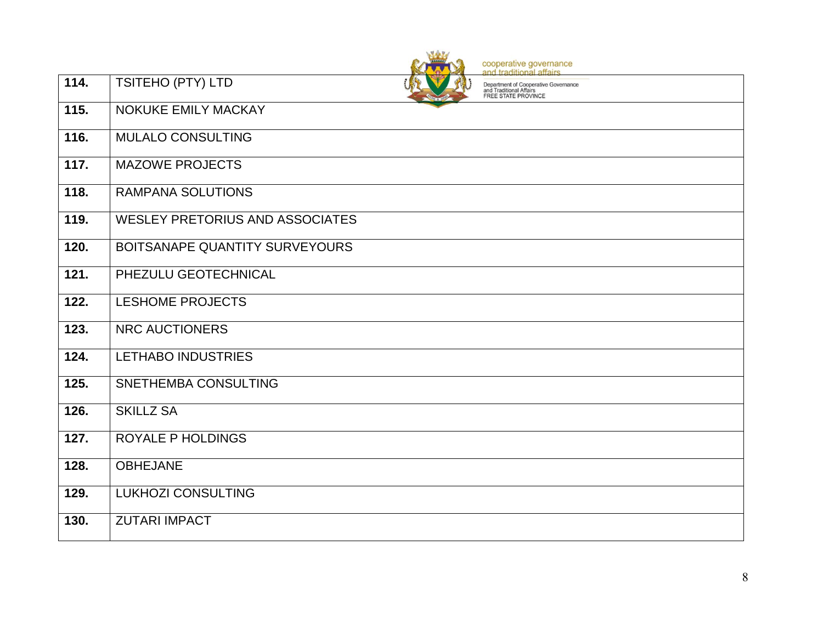|                    | cooperative governance<br>and traditional affairs                                                                  |
|--------------------|--------------------------------------------------------------------------------------------------------------------|
| 114.               | TSITEHO (PTY) LTD<br>Department of Cooperative Governance<br>and Traditional Affairs<br><b>FREE STATE PROVINCE</b> |
| 115.               | NOKUKE EMILY MACKAY                                                                                                |
| 116.               | <b>MULALO CONSULTING</b>                                                                                           |
| $\overline{117}$ . | <b>MAZOWE PROJECTS</b>                                                                                             |
| $\overline{118}$ . | <b>RAMPANA SOLUTIONS</b>                                                                                           |
| 119.               | <b>WESLEY PRETORIUS AND ASSOCIATES</b>                                                                             |
| 120.               | BOITSANAPE QUANTITY SURVEYOURS                                                                                     |
| $\overline{121}$   | PHEZULU GEOTECHNICAL                                                                                               |
| 122.               | <b>LESHOME PROJECTS</b>                                                                                            |
| $\overline{123}$ . | <b>NRC AUCTIONERS</b>                                                                                              |
| 124.               | LETHABO INDUSTRIES                                                                                                 |
| 125.               | SNETHEMBA CONSULTING                                                                                               |
| 126.               | <b>SKILLZ SA</b>                                                                                                   |
| 127.               | <b>ROYALE P HOLDINGS</b>                                                                                           |
| 128.               | <b>OBHEJANE</b>                                                                                                    |
| 129.               | <b>LUKHOZI CONSULTING</b>                                                                                          |
| 130.               | <b>ZUTARI IMPACT</b>                                                                                               |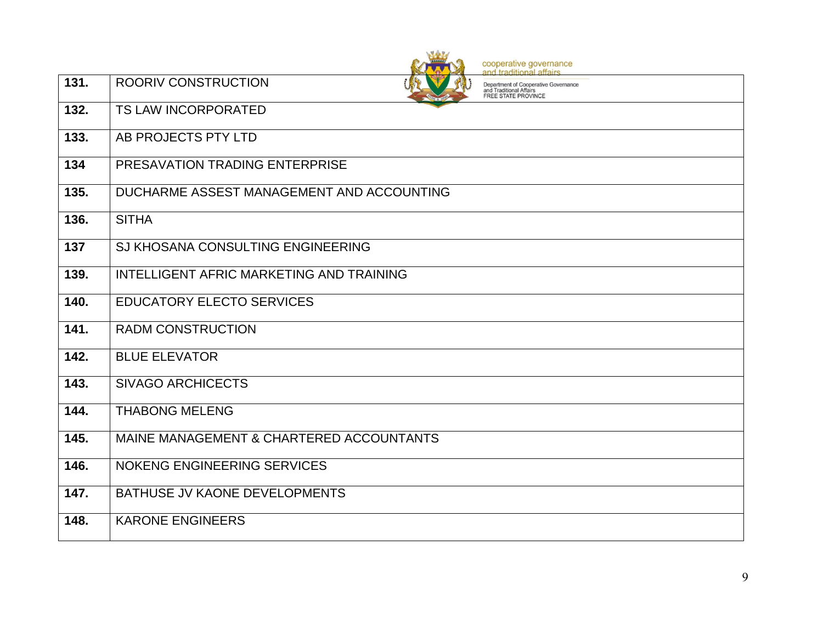|      | cooperative governance<br>and traditional affairs                                                                    |
|------|----------------------------------------------------------------------------------------------------------------------|
| 131. | <b>ROORIV CONSTRUCTION</b><br>Department of Cooperative Governance<br>and Traditional Affairs<br>FREE STATE PROVINCE |
| 132. | <b>TS LAW INCORPORATED</b>                                                                                           |
| 133. | AB PROJECTS PTY LTD                                                                                                  |
| 134  | PRESAVATION TRADING ENTERPRISE                                                                                       |
| 135. | DUCHARME ASSEST MANAGEMENT AND ACCOUNTING                                                                            |
| 136. | <b>SITHA</b>                                                                                                         |
| 137  | SJ KHOSANA CONSULTING ENGINEERING                                                                                    |
| 139. | INTELLIGENT AFRIC MARKETING AND TRAINING                                                                             |
| 140. | <b>EDUCATORY ELECTO SERVICES</b>                                                                                     |
| 141. | <b>RADM CONSTRUCTION</b>                                                                                             |
| 142. | <b>BLUE ELEVATOR</b>                                                                                                 |
| 143. | <b>SIVAGO ARCHICECTS</b>                                                                                             |
| 144. | <b>THABONG MELENG</b>                                                                                                |
| 145. | MAINE MANAGEMENT & CHARTERED ACCOUNTANTS                                                                             |
| 146. | <b>NOKENG ENGINEERING SERVICES</b>                                                                                   |
| 147. | BATHUSE JV KAONE DEVELOPMENTS                                                                                        |
| 148. | <b>KARONE ENGINEERS</b>                                                                                              |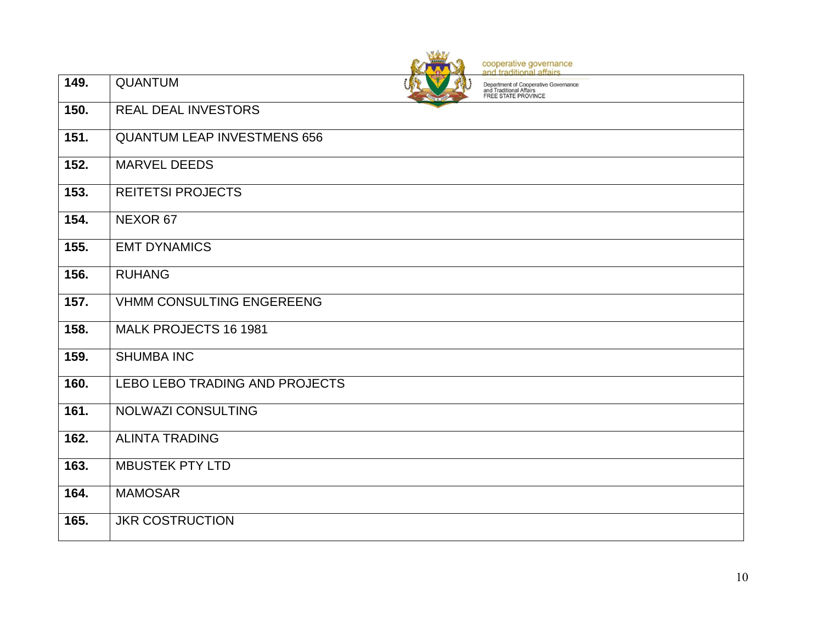|                    | cooperative governance<br>and traditional affairs                                                        |
|--------------------|----------------------------------------------------------------------------------------------------------|
| 149.               | <b>QUANTUM</b><br>Department of Cooperative Governance<br>and Traditional Affairs<br>FREE STATE PROVINCE |
| 150.               | <b>REAL DEAL INVESTORS</b>                                                                               |
| 151.               | <b>QUANTUM LEAP INVESTMENS 656</b>                                                                       |
| $\overline{1}$ 52. | <b>MARVEL DEEDS</b>                                                                                      |
| 153.               | <b>REITETSI PROJECTS</b>                                                                                 |
| 154.               | NEXOR 67                                                                                                 |
| 155.               | <b>EMT DYNAMICS</b>                                                                                      |
| 156.               | <b>RUHANG</b>                                                                                            |
| 157.               | <b>VHMM CONSULTING ENGEREENG</b>                                                                         |
| 158.               | MALK PROJECTS 16 1981                                                                                    |
| 159.               | <b>SHUMBA INC</b>                                                                                        |
| 160.               | LEBO LEBO TRADING AND PROJECTS                                                                           |
| 161.               | <b>NOLWAZI CONSULTING</b>                                                                                |
| 162.               | <b>ALINTA TRADING</b>                                                                                    |
| 163.               | <b>MBUSTEK PTY LTD</b>                                                                                   |
| 164.               | <b>MAMOSAR</b>                                                                                           |
| 165.               | <b>JKR COSTRUCTION</b>                                                                                   |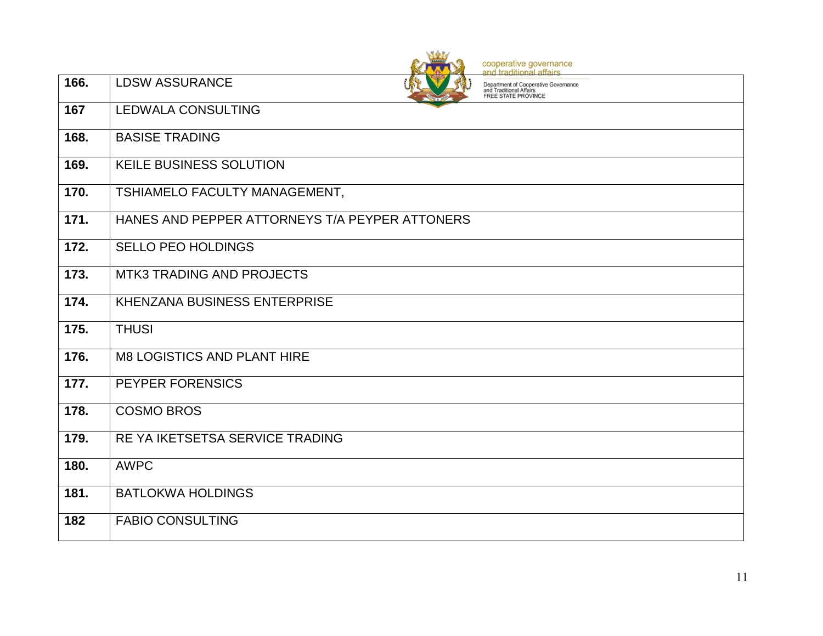|                    | cooperative governance<br>and traditional affairs                                                               |
|--------------------|-----------------------------------------------------------------------------------------------------------------|
| 166.               | <b>LDSW ASSURANCE</b><br>Department of Cooperative Governance<br>and Traditional Affairs<br>FREE STATE PROVINCE |
| 167                | <b>LEDWALA CONSULTING</b>                                                                                       |
| 168.               | <b>BASISE TRADING</b>                                                                                           |
| 169.               | <b>KEILE BUSINESS SOLUTION</b>                                                                                  |
| 170.               | TSHIAMELO FACULTY MANAGEMENT,                                                                                   |
| 171.               | HANES AND PEPPER ATTORNEYS T/A PEYPER ATTONERS                                                                  |
| $\overline{172}$ . | <b>SELLO PEO HOLDINGS</b>                                                                                       |
| 173.               | <b>MTK3 TRADING AND PROJECTS</b>                                                                                |
| 174.               | KHENZANA BUSINESS ENTERPRISE                                                                                    |
| 175.               | <b>THUSI</b>                                                                                                    |
| 176.               | <b>M8 LOGISTICS AND PLANT HIRE</b>                                                                              |
| 177.               | PEYPER FORENSICS                                                                                                |
| 178.               | <b>COSMO BROS</b>                                                                                               |
| 179.               | RE YA IKETSETSA SERVICE TRADING                                                                                 |
| 180.               | <b>AWPC</b>                                                                                                     |
| 181.               | <b>BATLOKWA HOLDINGS</b>                                                                                        |
| 182                | <b>FABIO CONSULTING</b>                                                                                         |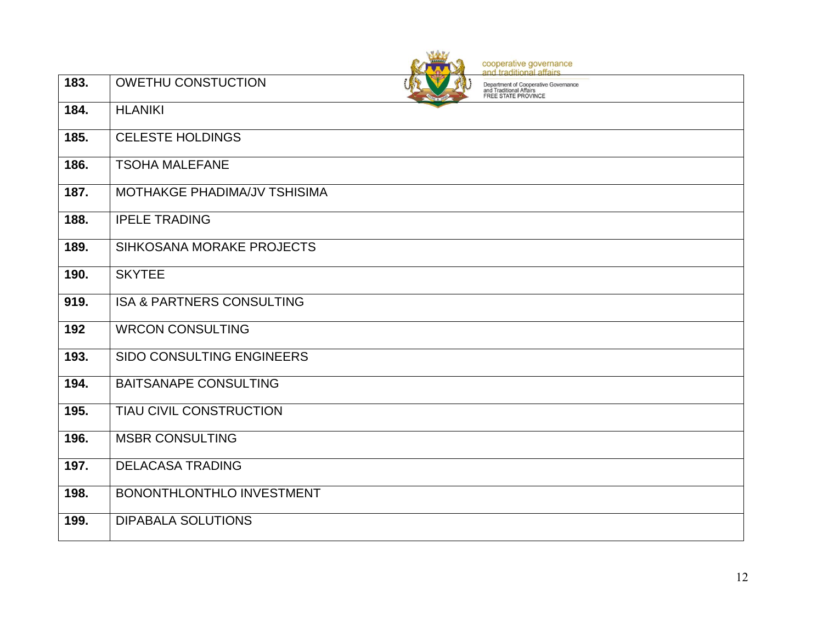|      | cooperative governance<br>and traditional affairs                                                                   |
|------|---------------------------------------------------------------------------------------------------------------------|
| 183. | <b>OWETHU CONSTUCTION</b><br>Department of Cooperative Governance<br>and Traditional Affairs<br>FREE STATE PROVINCE |
| 184. | <b>HLANIKI</b>                                                                                                      |
| 185. | <b>CELESTE HOLDINGS</b>                                                                                             |
| 186. | <b>TSOHA MALEFANE</b>                                                                                               |
| 187. | MOTHAKGE PHADIMA/JV TSHISIMA                                                                                        |
| 188. | <b>IPELE TRADING</b>                                                                                                |
| 189. | SIHKOSANA MORAKE PROJECTS                                                                                           |
| 190. | <b>SKYTEE</b>                                                                                                       |
| 919. | <b>ISA &amp; PARTNERS CONSULTING</b>                                                                                |
| 192  | <b>WRCON CONSULTING</b>                                                                                             |
| 193. | SIDO CONSULTING ENGINEERS                                                                                           |
| 194. | <b>BAITSANAPE CONSULTING</b>                                                                                        |
| 195. | <b>TIAU CIVIL CONSTRUCTION</b>                                                                                      |
| 196. | <b>MSBR CONSULTING</b>                                                                                              |
| 197. | <b>DELACASA TRADING</b>                                                                                             |
| 198. | BONONTHLONTHLO INVESTMENT                                                                                           |
| 199. | <b>DIPABALA SOLUTIONS</b>                                                                                           |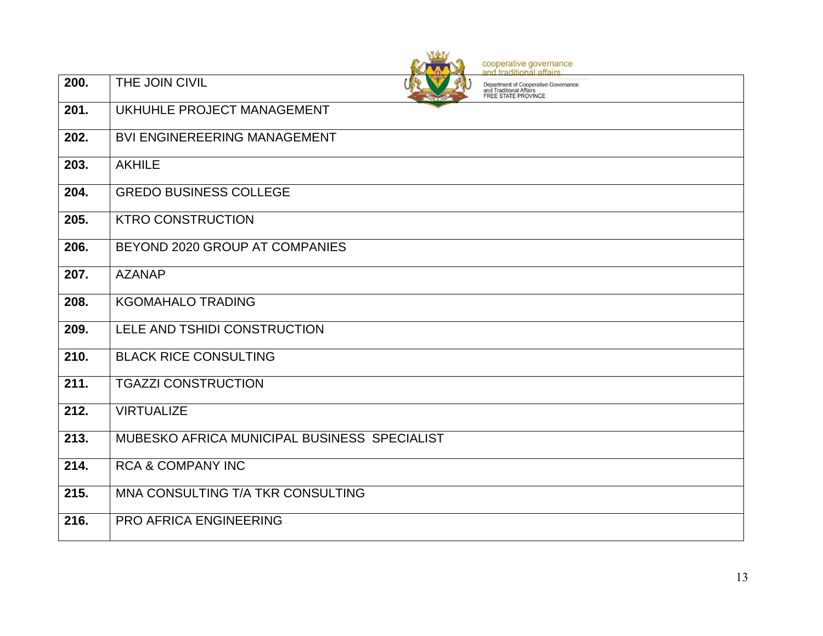cooperative governance<br>and traditional affairs

| Department of Cooperative Governance<br>and Traditional Affairs<br><b>FREE STATE PROVINCE</b> |  |
|-----------------------------------------------------------------------------------------------|--|

| $\overline{200}$ . | THE JOIN CIVIL                               | Department of Cooperative Governance<br>and Traditional Affairs<br><b>FREE STATE PROVINCE</b> |
|--------------------|----------------------------------------------|-----------------------------------------------------------------------------------------------|
| 201.               | UKHUHLE PROJECT MANAGEMENT                   |                                                                                               |
| 202.               | <b>BVI ENGINEREERING MANAGEMENT</b>          |                                                                                               |
| 203.               | <b>AKHILE</b>                                |                                                                                               |
| 204.               | <b>GREDO BUSINESS COLLEGE</b>                |                                                                                               |
| 205.               | <b>KTRO CONSTRUCTION</b>                     |                                                                                               |
| 206.               | BEYOND 2020 GROUP AT COMPANIES               |                                                                                               |
| 207.               | <b>AZANAP</b>                                |                                                                                               |
| 208.               | <b>KGOMAHALO TRADING</b>                     |                                                                                               |
| 209.               | LELE AND TSHIDI CONSTRUCTION                 |                                                                                               |
| 210.               | <b>BLACK RICE CONSULTING</b>                 |                                                                                               |
| 211.               | <b>TGAZZI CONSTRUCTION</b>                   |                                                                                               |
| 212.               | <b>VIRTUALIZE</b>                            |                                                                                               |
| 213.               | MUBESKO AFRICA MUNICIPAL BUSINESS SPECIALIST |                                                                                               |
| 214.               | <b>RCA &amp; COMPANY INC</b>                 |                                                                                               |
| 215.               | MNA CONSULTING T/A TKR CONSULTING            |                                                                                               |
| 216.               | <b>PRO AFRICA ENGINEERING</b>                |                                                                                               |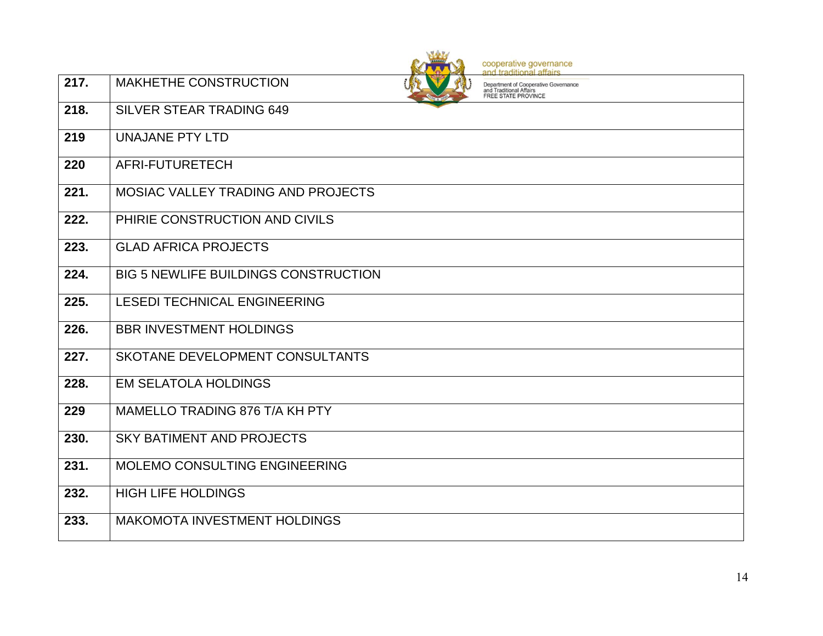|                    |                                             | cooperative governance<br>and traditional affairs                                             |
|--------------------|---------------------------------------------|-----------------------------------------------------------------------------------------------|
| 217.               | MAKHETHE CONSTRUCTION                       | Department of Cooperative Governance<br>and Traditional Affairs<br><b>FREE STATE PROVINCE</b> |
| 218.               | <b>SILVER STEAR TRADING 649</b>             |                                                                                               |
| 219                | <b>UNAJANE PTY LTD</b>                      |                                                                                               |
| 220                | AFRI-FUTURETECH                             |                                                                                               |
| $\overline{221}$ . | MOSIAC VALLEY TRADING AND PROJECTS          |                                                                                               |
| 222.               | PHIRIE CONSTRUCTION AND CIVILS              |                                                                                               |
| 223.               | <b>GLAD AFRICA PROJECTS</b>                 |                                                                                               |
| 224.               | <b>BIG 5 NEWLIFE BUILDINGS CONSTRUCTION</b> |                                                                                               |
| 225.               | <b>LESEDI TECHNICAL ENGINEERING</b>         |                                                                                               |
| 226.               | <b>BBR INVESTMENT HOLDINGS</b>              |                                                                                               |
| 227.               | SKOTANE DEVELOPMENT CONSULTANTS             |                                                                                               |
| 228.               | <b>EM SELATOLA HOLDINGS</b>                 |                                                                                               |
| 229                | MAMELLO TRADING 876 T/A KH PTY              |                                                                                               |
| 230.               | <b>SKY BATIMENT AND PROJECTS</b>            |                                                                                               |
| 231.               | MOLEMO CONSULTING ENGINEERING               |                                                                                               |
| 232.               | <b>HIGH LIFE HOLDINGS</b>                   |                                                                                               |
| 233.               | <b>MAKOMOTA INVESTMENT HOLDINGS</b>         |                                                                                               |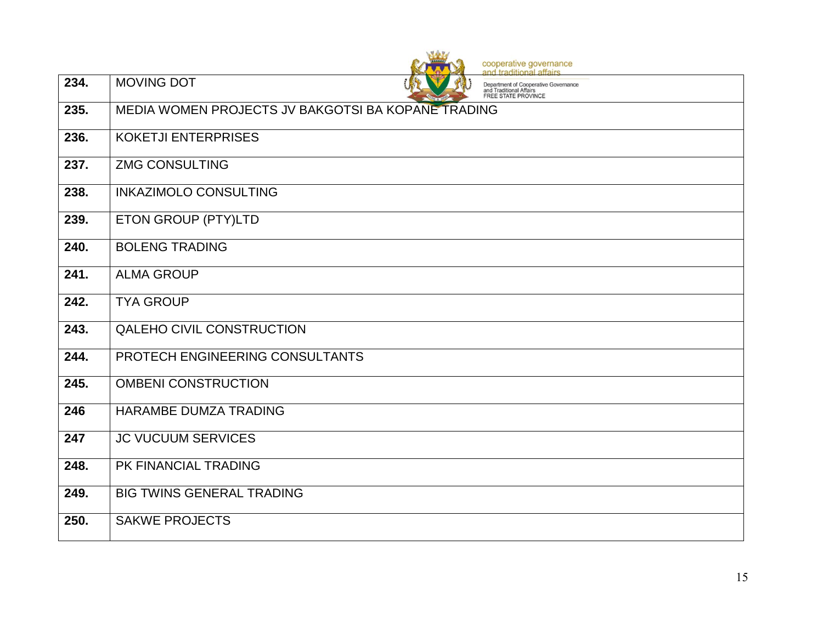|      | cooperative governance<br>and traditional affairs                                                                  |
|------|--------------------------------------------------------------------------------------------------------------------|
| 234. | <b>MOVING DOT</b><br>Department of Cooperative Governance<br>and Traditional Affairs<br><b>FREE STATE PROVINCE</b> |
| 235. | MEDIA WOMEN PROJECTS JV BAKGOTSI BA KOPANE TRADING                                                                 |
| 236. | <b>KOKETJI ENTERPRISES</b>                                                                                         |
| 237. | <b>ZMG CONSULTING</b>                                                                                              |
| 238. | <b>INKAZIMOLO CONSULTING</b>                                                                                       |
| 239. | ETON GROUP (PTY)LTD                                                                                                |
| 240. | <b>BOLENG TRADING</b>                                                                                              |
| 241. | <b>ALMA GROUP</b>                                                                                                  |
| 242. | <b>TYA GROUP</b>                                                                                                   |
| 243. | QALEHO CIVIL CONSTRUCTION                                                                                          |
| 244. | PROTECH ENGINEERING CONSULTANTS                                                                                    |
| 245. | <b>OMBENI CONSTRUCTION</b>                                                                                         |
| 246  | HARAMBE DUMZA TRADING                                                                                              |
| 247  | <b>JC VUCUUM SERVICES</b>                                                                                          |
| 248. | PK FINANCIAL TRADING                                                                                               |
| 249. | <b>BIG TWINS GENERAL TRADING</b>                                                                                   |
| 250. | <b>SAKWE PROJECTS</b>                                                                                              |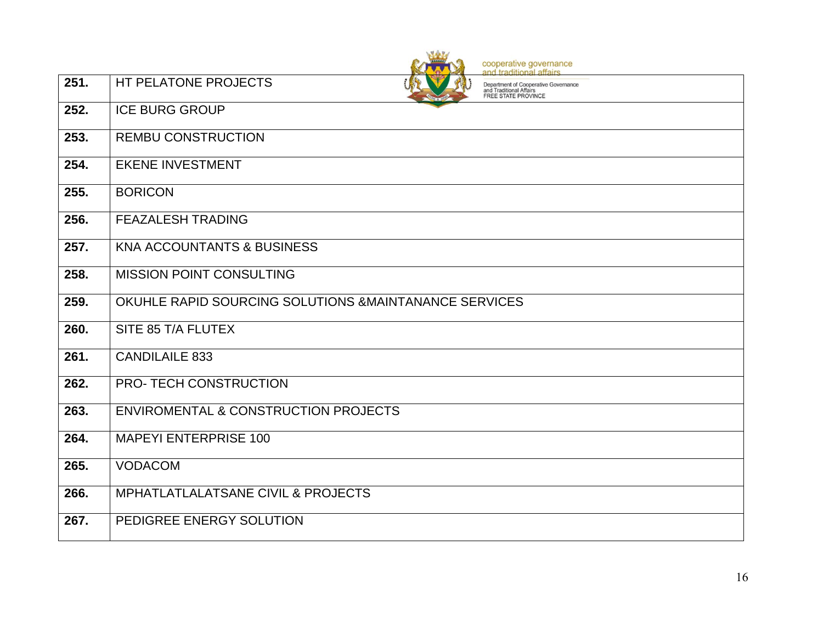|      | cooperative governance<br>and traditional affairs                                                                     |
|------|-----------------------------------------------------------------------------------------------------------------------|
| 251. | HT PELATONE PROJECTS<br>Department of Cooperative Governance<br>and Traditional Affairs<br><b>FREE STATE PROVINCE</b> |
| 252. | <b>ICE BURG GROUP</b>                                                                                                 |
| 253. | <b>REMBU CONSTRUCTION</b>                                                                                             |
| 254. | <b>EKENE INVESTMENT</b>                                                                                               |
| 255. | <b>BORICON</b>                                                                                                        |
| 256. | <b>FEAZALESH TRADING</b>                                                                                              |
| 257. | <b>KNA ACCOUNTANTS &amp; BUSINESS</b>                                                                                 |
| 258. | MISSION POINT CONSULTING                                                                                              |
| 259. | OKUHLE RAPID SOURCING SOLUTIONS & MAINTANANCE SERVICES                                                                |
| 260. | SITE 85 T/A FLUTEX                                                                                                    |
| 261. | <b>CANDILAILE 833</b>                                                                                                 |
| 262. | <b>PRO-TECH CONSTRUCTION</b>                                                                                          |
| 263. | <b>ENVIROMENTAL &amp; CONSTRUCTION PROJECTS</b>                                                                       |
| 264. | <b>MAPEYI ENTERPRISE 100</b>                                                                                          |
| 265. | <b>VODACOM</b>                                                                                                        |
| 266. | MPHATLATLALATSANE CIVIL & PROJECTS                                                                                    |
| 267. | PEDIGREE ENERGY SOLUTION                                                                                              |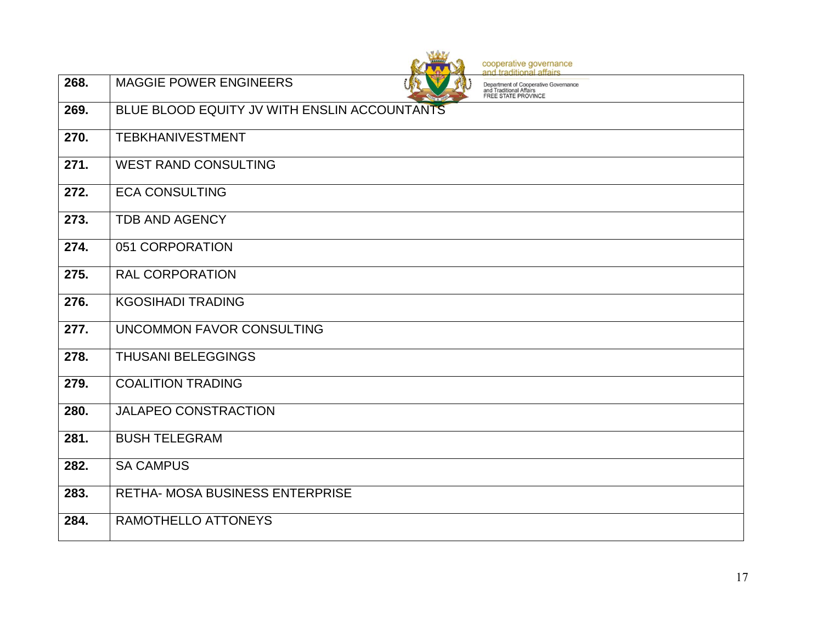|      | cooperative governance<br>and traditional affairs                                                                       |
|------|-------------------------------------------------------------------------------------------------------------------------|
| 268. | <b>MAGGIE POWER ENGINEERS</b><br>Department of Cooperative Governance<br>and Traditional Affairs<br>FREE STATE PROVINCE |
| 269. | BLUE BLOOD EQUITY JV WITH ENSLIN ACCOUNTANTS                                                                            |
| 270. | <b>TEBKHANIVESTMENT</b>                                                                                                 |
| 271. | <b>WEST RAND CONSULTING</b>                                                                                             |
| 272. | <b>ECA CONSULTING</b>                                                                                                   |
| 273. | <b>TDB AND AGENCY</b>                                                                                                   |
| 274. | 051 CORPORATION                                                                                                         |
| 275. | <b>RAL CORPORATION</b>                                                                                                  |
| 276. | <b>KGOSIHADI TRADING</b>                                                                                                |
| 277. | UNCOMMON FAVOR CONSULTING                                                                                               |
| 278. | <b>THUSANI BELEGGINGS</b>                                                                                               |
| 279. | <b>COALITION TRADING</b>                                                                                                |
| 280. | <b>JALAPEO CONSTRACTION</b>                                                                                             |
| 281. | <b>BUSH TELEGRAM</b>                                                                                                    |
| 282. | <b>SA CAMPUS</b>                                                                                                        |
| 283. | <b>RETHA- MOSA BUSINESS ENTERPRISE</b>                                                                                  |
| 284. | RAMOTHELLO ATTONEYS                                                                                                     |

orthical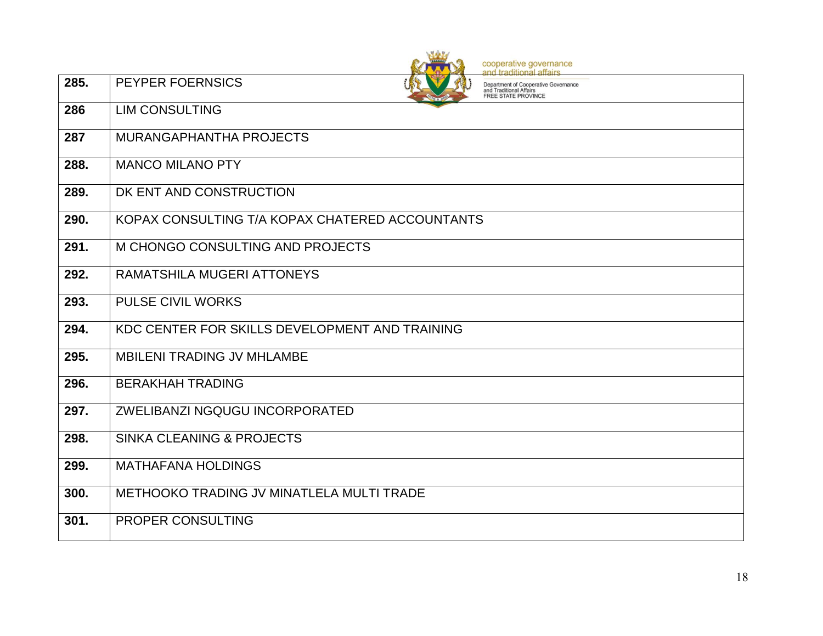|      | cooperative governance<br>and traditional affairs                                                                 |
|------|-------------------------------------------------------------------------------------------------------------------|
| 285. | PEYPER FOERNSICS<br>Department of Cooperative Governance<br>and Traditional Affairs<br><b>FREE STATE PROVINCE</b> |
| 286  | <b>LIM CONSULTING</b>                                                                                             |
| 287  | <b>MURANGAPHANTHA PROJECTS</b>                                                                                    |
| 288. | <b>MANCO MILANO PTY</b>                                                                                           |
| 289. | DK ENT AND CONSTRUCTION                                                                                           |
| 290. | KOPAX CONSULTING T/A KOPAX CHATERED ACCOUNTANTS                                                                   |
| 291. | M CHONGO CONSULTING AND PROJECTS                                                                                  |
| 292. | RAMATSHILA MUGERI ATTONEYS                                                                                        |
| 293. | <b>PULSE CIVIL WORKS</b>                                                                                          |
| 294. | KDC CENTER FOR SKILLS DEVELOPMENT AND TRAINING                                                                    |
| 295. | <b>MBILENI TRADING JV MHLAMBE</b>                                                                                 |
| 296. | <b>BERAKHAH TRADING</b>                                                                                           |
| 297. | ZWELIBANZI NGQUGU INCORPORATED                                                                                    |
| 298. | <b>SINKA CLEANING &amp; PROJECTS</b>                                                                              |
| 299. | <b>MATHAFANA HOLDINGS</b>                                                                                         |
| 300. | METHOOKO TRADING JV MINATLELA MULTI TRADE                                                                         |
| 301. | <b>PROPER CONSULTING</b>                                                                                          |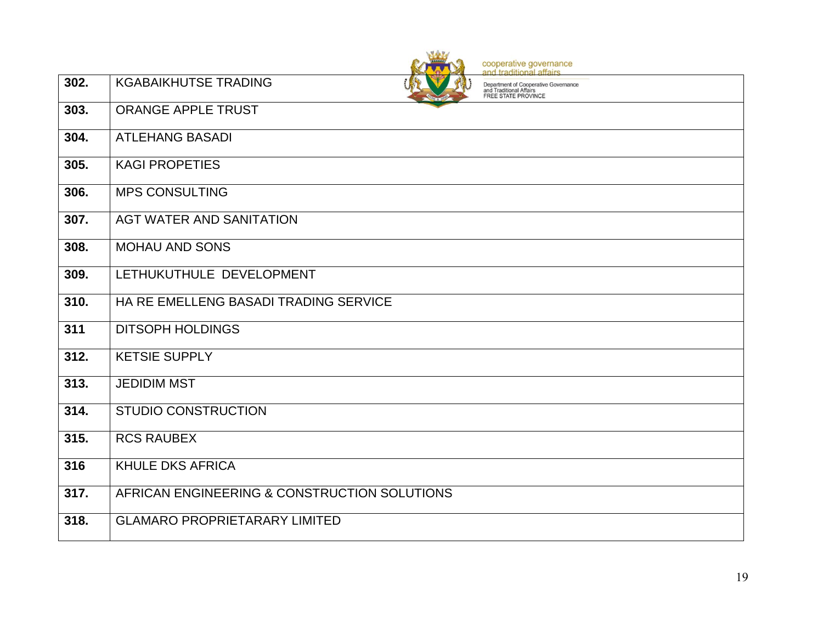|                    | cooperative governance<br>and traditional affairs                                                                            |
|--------------------|------------------------------------------------------------------------------------------------------------------------------|
| 302.               | <b>KGABAIKHUTSE TRADING</b><br>Department of Cooperative Governance<br>and Traditional Affairs<br><b>FREE STATE PROVINCE</b> |
| 303.               | <b>ORANGE APPLE TRUST</b>                                                                                                    |
| 304.               | <b>ATLEHANG BASADI</b>                                                                                                       |
| 305.               | <b>KAGI PROPETIES</b>                                                                                                        |
| 306.               | <b>MPS CONSULTING</b>                                                                                                        |
| 307.               | AGT WATER AND SANITATION                                                                                                     |
| 308.               | <b>MOHAU AND SONS</b>                                                                                                        |
| 309.               | LETHUKUTHULE DEVELOPMENT                                                                                                     |
| 310.               | HA RE EMELLENG BASADI TRADING SERVICE                                                                                        |
| 311                | <b>DITSOPH HOLDINGS</b>                                                                                                      |
| $\overline{3}12.$  | <b>KETSIE SUPPLY</b>                                                                                                         |
| $\overline{3}$ 13. | <b>JEDIDIM MST</b>                                                                                                           |
| $\overline{314}$ . | <b>STUDIO CONSTRUCTION</b>                                                                                                   |
| 315.               | <b>RCS RAUBEX</b>                                                                                                            |
| 316                | <b>KHULE DKS AFRICA</b>                                                                                                      |
| $\overline{3}17.$  | AFRICAN ENGINEERING & CONSTRUCTION SOLUTIONS                                                                                 |
| 318.               | <b>GLAMARO PROPRIETARARY LIMITED</b>                                                                                         |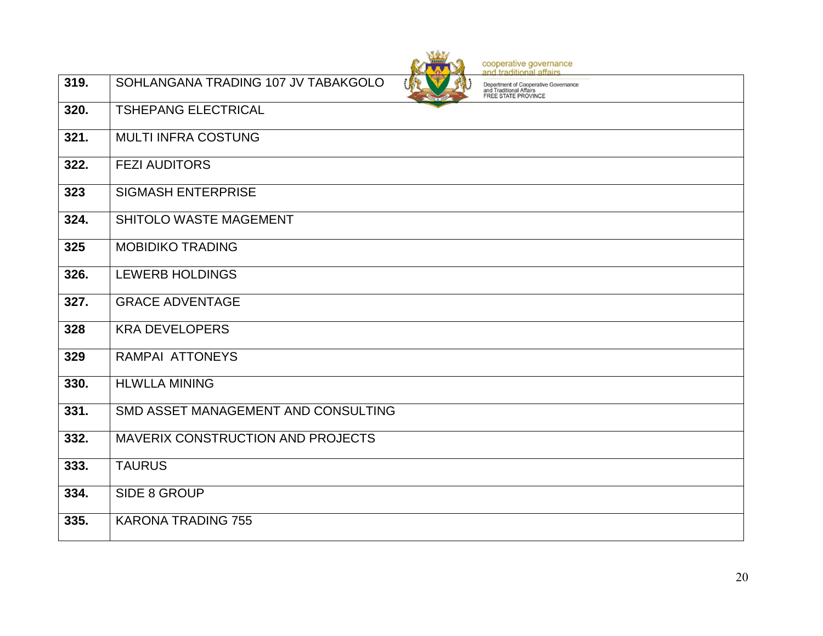**319.** SOHLANGANA TRADING 107 JV TABAKGOLO

cooperative governance<br>and traditional affairs

Department of Cooperative Governance<br>and Traditional Affairs<br>FREE STATE PROVINCE